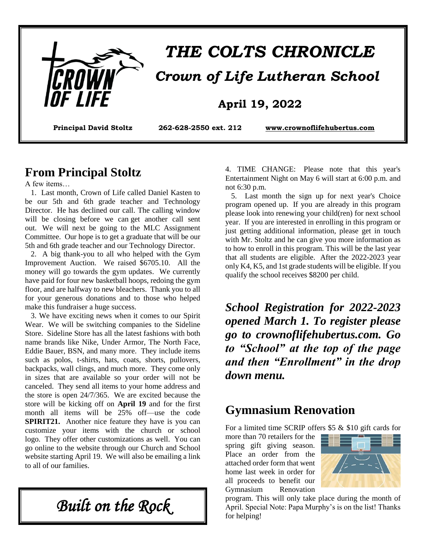

# *THE COLTS CHRONICLE Crown of Life Lutheran School*

#### **April 19, 2022**

**Principal David Stoltz 262-628-2550 ext. 212 [www.crownoflifehubertus.com](http://www.crownoflifehubertus.com/)**

#### **From Principal Stoltz**

A few items…

 1. Last month, Crown of Life called Daniel Kasten to be our 5th and 6th grade teacher and Technology Director. He has declined our call. The calling window will be closing before we can get another call sent out. We will next be going to the MLC Assignment Committee. Our hope is to get a graduate that will be our 5th and 6th grade teacher and our Technology Director.

 2. A big thank-you to all who helped with the Gym Improvement Auction. We raised \$6705.10. All the money will go towards the gym updates. We currently have paid for four new basketball hoops, redoing the gym floor, and are halfway to new bleachers. Thank you to all for your generous donations and to those who helped make this fundraiser a huge success.

 3. We have exciting news when it comes to our Spirit Wear. We will be switching companies to the Sideline Store. Sideline Store has all the latest fashions with both name brands like Nike, Under Armor, The North Face, Eddie Bauer, BSN, and many more. They include items such as polos, t-shirts, hats, coats, shorts, pullovers, backpacks, wall clings, and much more. They come only in sizes that are available so your order will not be canceled. They send all items to your home address and the store is open 24/7/365. We are excited because the store will be kicking off on **April 19** and for the first month all items will be 25% off—use the code **SPIRIT21.** Another nice feature they have is you can customize your items with the church or school logo. They offer other customizations as well. You can go online to the website through our Church and School website starting April 19. We will also be emailing a link to all of our families.

*Built on the Rock* 

4. TIME CHANGE: Please note that this year's Entertainment Night on May 6 will start at 6:00 p.m. and not 6:30 p.m.

 5. Last month the sign up for next year's Choice program opened up. If you are already in this program please look into renewing your child(ren) for next school year. If you are interested in enrolling in this program or just getting additional information, please get in touch with Mr. Stoltz and he can give you more information as to how to enroll in this program. This will be the last year that all students are eligible. After the 2022-2023 year only K4, K5, and 1st grade students will be eligible. If you qualify the school receives \$8200 per child.

*School Registration for 2022-2023 opened March 1. To register please go to crownoflifehubertus.com. Go to "School" at the top of the page and then "Enrollment" in the drop down menu.*

### **Gymnasium Renovation**

For a limited time SCRIP offers \$5 & \$10 gift cards for

more than 70 retailers for the spring gift giving season. Place an order from the attached order form that went home last week in order for all proceeds to benefit our Gymnasium Renovation



program. This will only take place during the month of April. Special Note: Papa Murphy's is on the list! Thanks for helping!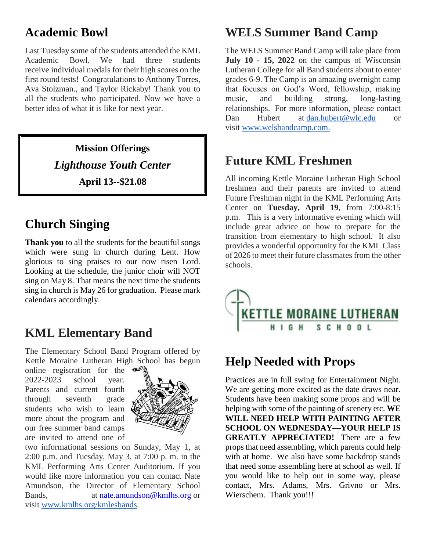## **Academic Bowl**

Last Tuesday some of the students attended the KML Academic Bowl. We had three students receive individual medals for their high scores on the first round tests! Congratulations to Anthony Torres, Ava Stolzman., and Taylor Rickaby! Thank you to all the students who participated. Now we have a better idea of what it is like for next year.

> **Mission Offerings** *Lighthouse Youth Center* **April 13--\$21.08**

## **Church Singing**

**Thank you** to all the students for the beautiful songs which were sung in church during Lent. How glorious to sing praises to our now risen Lord. Looking at the schedule, the junior choir will NOT sing on May 8. That means the next time the students sing in church is May 26 for graduation. Please mark calendars accordingly.

## **KML Elementary Band**

The Elementary School Band Program offered by Kettle Moraine Lutheran High School has begun

online registration for the 2022-2023 school year. Parents and current fourth through seventh grade students who wish to learn more about the program and our free summer band camps are invited to attend one of



two informational sessions on Sunday, May 1, at 2:00 p.m. and Tuesday, May 3, at 7:00 p. m. in the KML Performing Arts Center Auditorium. If you would like more information you can contact Nate Amundson, the Director of Elementary School Bands, at [nate.amundson@kmlhs.org](mailto:nate.amundson@kmlhs.org) or visit [www.kmlhs.org/kmlesbands.](http://www.kmlhs.org/kmlesbands)

## **WELS Summer Band Camp**

The WELS Summer Band Camp will take place from **July 10 - 15, 2022** on the campus of Wisconsin Lutheran College for all Band students about to enter grades 6-9. The Camp is an amazing overnight camp that focuses on God's Word, fellowship, making music, and building strong, long-lasting relationships. For more information, please contact Dan Hubert at [dan.hubert@wlc.edu](mailto:dan.hubert@wlc.edu) or visit [www.welsbandcamp.com.](http://www.welsbandcamp.com/)

### **Future KML Freshmen**

All incoming Kettle Moraine Lutheran High School freshmen and their parents are invited to attend Future Freshman night in the KML Performing Arts Center on **Tuesday, April 19**, from 7:00-8:15 p.m. This is a very informative evening which will include great advice on how to prepare for the transition from elementary to high school. It also provides a wonderful opportunity for the KML Class of 2026 to meet their future classmates from the other schools.



## **Help Needed with Props**

Practices are in full swing for Entertainment Night. We are getting more excited as the date draws near. Students have been making some props and will be helping with some of the painting of scenery etc. **WE WILL NEED HELP WITH PAINTING AFTER SCHOOL ON WEDNESDAY—YOUR HELP IS GREATLY APPRECIATED!** There are a few props that need assembling, which parents could help with at home. We also have some backdrop stands that need some assembling here at school as well. If you would like to help out in some way, please contact, Mrs. Adams, Mrs. Grivno or Mrs. Wierschem. Thank you!!!